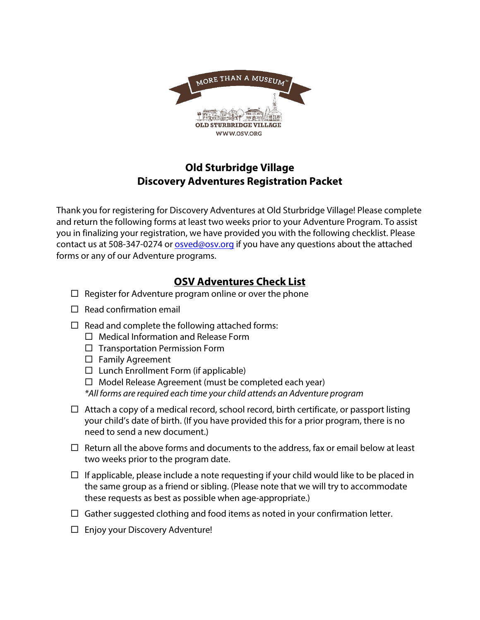

## **Old Sturbridge Village Discovery Adventures Registration Packet**

Thank you for registering for Discovery Adventures at Old Sturbridge Village! Please complete and return the following forms at least two weeks prior to your Adventure Program. To assist you in finalizing your registration, we have provided you with the following checklist. Please contact us at 508-347-0274 or [osved@osv.org](mailto:osved@osv.org) if you have any questions about the attached forms or any of our Adventure programs.

### **OSV Adventures Check List**

- $\Box$  Register for Adventure program online or over the phone
- $\Box$  Read confirmation email
- $\Box$  Read and complete the following attached forms:
	- $\Box$  Medical Information and Release Form
	- $\Box$  Transportation Permission Form
	- $\Box$  Family Agreement
	- $\Box$  Lunch Enrollment Form (if applicable)
	- $\Box$  Model Release Agreement (must be completed each year)

*\*All forms are required each time your child attends an Adventure program*

- $\Box$  Attach a copy of a medical record, school record, birth certificate, or passport listing your child's date of birth. (If you have provided this for a prior program, there is no need to send a new document.)
- $\Box$  Return all the above forms and documents to the address, fax or email below at least two weeks prior to the program date.
- $\Box$  If applicable, please include a note requesting if your child would like to be placed in the same group as a friend or sibling. (Please note that we will try to accommodate these requests as best as possible when age-appropriate.)
- $\Box$  Gather suggested clothing and food items as noted in your confirmation letter.
- $\Box$  Enjoy your Discovery Adventure!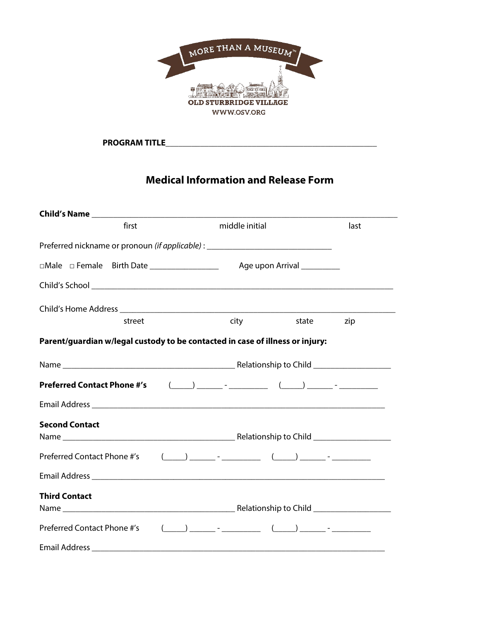

PROGRAM TITLE

## **Medical Information and Release Form**

| first                                                                                  | middle initial                                                                                                                                                                                                                                                                                                                                                                                                                                                                                                                                                                                                | last         |
|----------------------------------------------------------------------------------------|---------------------------------------------------------------------------------------------------------------------------------------------------------------------------------------------------------------------------------------------------------------------------------------------------------------------------------------------------------------------------------------------------------------------------------------------------------------------------------------------------------------------------------------------------------------------------------------------------------------|--------------|
| Preferred nickname or pronoun <i>(if applicable)</i> : _______________________________ |                                                                                                                                                                                                                                                                                                                                                                                                                                                                                                                                                                                                               |              |
|                                                                                        |                                                                                                                                                                                                                                                                                                                                                                                                                                                                                                                                                                                                               |              |
|                                                                                        |                                                                                                                                                                                                                                                                                                                                                                                                                                                                                                                                                                                                               |              |
|                                                                                        |                                                                                                                                                                                                                                                                                                                                                                                                                                                                                                                                                                                                               |              |
| street                                                                                 | city                                                                                                                                                                                                                                                                                                                                                                                                                                                                                                                                                                                                          | state<br>zip |
| Parent/guardian w/legal custody to be contacted in case of illness or injury:          |                                                                                                                                                                                                                                                                                                                                                                                                                                                                                                                                                                                                               |              |
|                                                                                        |                                                                                                                                                                                                                                                                                                                                                                                                                                                                                                                                                                                                               |              |
| <b>Preferred Contact Phone #'s</b>                                                     | $\begin{picture}(150,10) \put(0,0){\vector(1,0){100}} \put(15,0){\vector(1,0){100}} \put(15,0){\vector(1,0){100}} \put(15,0){\vector(1,0){100}} \put(15,0){\vector(1,0){100}} \put(15,0){\vector(1,0){100}} \put(15,0){\vector(1,0){100}} \put(15,0){\vector(1,0){100}} \put(15,0){\vector(1,0){100}} \put(15,0){\vector(1,0){100}} \put(15,0){\vector(1,0){100}}$                                                                                                                                                                                                                                            |              |
|                                                                                        |                                                                                                                                                                                                                                                                                                                                                                                                                                                                                                                                                                                                               |              |
| <b>Second Contact</b>                                                                  |                                                                                                                                                                                                                                                                                                                                                                                                                                                                                                                                                                                                               |              |
| Preferred Contact Phone #'s                                                            | $\begin{picture}(150,10) \put(0,0){\vector(1,0){100}} \put(15,0){\vector(1,0){100}} \put(15,0){\vector(1,0){100}} \put(15,0){\vector(1,0){100}} \put(15,0){\vector(1,0){100}} \put(15,0){\vector(1,0){100}} \put(15,0){\vector(1,0){100}} \put(15,0){\vector(1,0){100}} \put(15,0){\vector(1,0){100}} \put(15,0){\vector(1,0){100}} \put(15,0){\vector(1,0){100}}$                                                                                                                                                                                                                                            |              |
|                                                                                        |                                                                                                                                                                                                                                                                                                                                                                                                                                                                                                                                                                                                               |              |
| <b>Third Contact</b>                                                                   |                                                                                                                                                                                                                                                                                                                                                                                                                                                                                                                                                                                                               |              |
| Preferred Contact Phone #'s                                                            | $\begin{pmatrix} \cdot & \cdot & \cdot \\ \cdot & \cdot & \cdot \\ \cdot & \cdot & \cdot \end{pmatrix} = \begin{pmatrix} \cdot & \cdot & \cdot \\ \cdot & \cdot & \cdot \\ \cdot & \cdot & \cdot \end{pmatrix} = \begin{pmatrix} \cdot & \cdot & \cdot \\ \cdot & \cdot & \cdot \\ \cdot & \cdot & \cdot \end{pmatrix} = \begin{pmatrix} \cdot & \cdot & \cdot \\ \cdot & \cdot & \cdot \\ \cdot & \cdot & \cdot \end{pmatrix} = \begin{pmatrix} \cdot & \cdot & \cdot \\ \cdot & \cdot & \cdot \\ \cdot & \cdot & \cdot \end{pmatrix} = \begin{pmatrix} \cdot & \cdot & \cdot \\ \cdot & \cdot & \cdot \\ \$ |              |
|                                                                                        |                                                                                                                                                                                                                                                                                                                                                                                                                                                                                                                                                                                                               |              |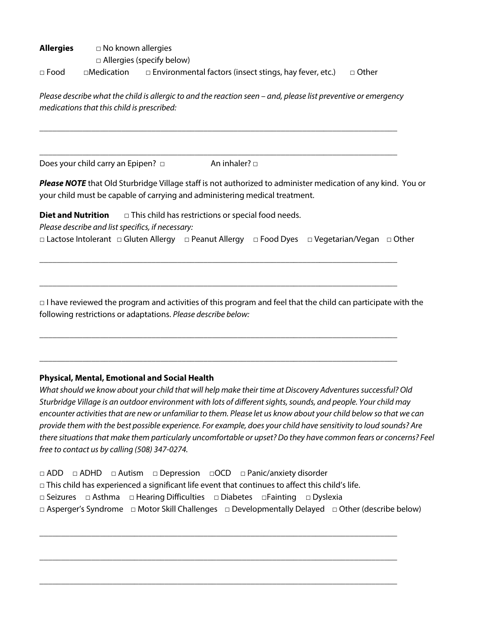**Allergies** □ No known allergies □ Allergies (specify below) □ Food □Medication □ Environmental factors (insect stings, hay fever, etc.) □ Other

*Please describe what the child is allergic to and the reaction seen – and, please list preventive or emergency medications that this child is prescribed:*

\_\_\_\_\_\_\_\_\_\_\_\_\_\_\_\_\_\_\_\_\_\_\_\_\_\_\_\_\_\_\_\_\_\_\_\_\_\_\_\_\_\_\_\_\_\_\_\_\_\_\_\_\_\_\_\_\_\_\_\_\_\_\_\_\_\_\_\_\_\_\_\_\_\_\_\_\_\_\_\_\_\_\_

\_\_\_\_\_\_\_\_\_\_\_\_\_\_\_\_\_\_\_\_\_\_\_\_\_\_\_\_\_\_\_\_\_\_\_\_\_\_\_\_\_\_\_\_\_\_\_\_\_\_\_\_\_\_\_\_\_\_\_\_\_\_\_\_\_\_\_\_\_\_\_\_\_\_\_\_\_\_\_\_\_\_\_

Does your child carry an Epipen? □ An inhaler? □

*Please NOTE* that Old Sturbridge Village staff is not authorized to administer medication of any kind. You or your child must be capable of carrying and administering medical treatment.

**Diet and Nutrition** □ This child has restrictions or special food needs. *Please describe and list specifics, if necessary:* □ Lactose Intolerant □ Gluten Allergy □ Peanut Allergy □ Food Dyes □ Vegetarian/Vegan □ Other

\_\_\_\_\_\_\_\_\_\_\_\_\_\_\_\_\_\_\_\_\_\_\_\_\_\_\_\_\_\_\_\_\_\_\_\_\_\_\_\_\_\_\_\_\_\_\_\_\_\_\_\_\_\_\_\_\_\_\_\_\_\_\_\_\_\_\_\_\_\_\_\_\_\_\_\_\_\_\_\_\_\_\_

\_\_\_\_\_\_\_\_\_\_\_\_\_\_\_\_\_\_\_\_\_\_\_\_\_\_\_\_\_\_\_\_\_\_\_\_\_\_\_\_\_\_\_\_\_\_\_\_\_\_\_\_\_\_\_\_\_\_\_\_\_\_\_\_\_\_\_\_\_\_\_\_\_\_\_\_\_\_\_\_\_\_\_

\_\_\_\_\_\_\_\_\_\_\_\_\_\_\_\_\_\_\_\_\_\_\_\_\_\_\_\_\_\_\_\_\_\_\_\_\_\_\_\_\_\_\_\_\_\_\_\_\_\_\_\_\_\_\_\_\_\_\_\_\_\_\_\_\_\_\_\_\_\_\_\_\_\_\_\_\_\_\_\_\_\_\_

\_\_\_\_\_\_\_\_\_\_\_\_\_\_\_\_\_\_\_\_\_\_\_\_\_\_\_\_\_\_\_\_\_\_\_\_\_\_\_\_\_\_\_\_\_\_\_\_\_\_\_\_\_\_\_\_\_\_\_\_\_\_\_\_\_\_\_\_\_\_\_\_\_\_\_\_\_\_\_\_\_\_\_

 $\Box$  I have reviewed the program and activities of this program and feel that the child can participate with the following restrictions or adaptations. *Please describe below:*

### **Physical, Mental, Emotional and Social Health**

*What should we know about your child that will help make their time at Discovery Adventures successful? Old Sturbridge Village is an outdoor environment with lots of different sights, sounds, and people. Your child may encounter activities that are new or unfamiliar to them. Please let us know about your child below so that we can provide them with the best possible experience. For example, does your child have sensitivity to loud sounds? Are there situations that make them particularly uncomfortable or upset? Do they have common fears or concerns? Feel free to contact us by calling (508) 347-0274.*

□ ADD □ ADHD □ Autism □ Depression □OCD □ Panic/anxiety disorder  $\Box$  This child has experienced a significant life event that continues to affect this child's life. □ Seizures □ Asthma □ Hearing Difficulties □ Diabetes □Fainting □ Dyslexia □ Asperger's Syndrome □ Motor Skill Challenges □ Developmentally Delayed □ Other (describe below)

\_\_\_\_\_\_\_\_\_\_\_\_\_\_\_\_\_\_\_\_\_\_\_\_\_\_\_\_\_\_\_\_\_\_\_\_\_\_\_\_\_\_\_\_\_\_\_\_\_\_\_\_\_\_\_\_\_\_\_\_\_\_\_\_\_\_\_\_\_\_\_\_\_\_\_\_\_\_\_\_\_\_\_

\_\_\_\_\_\_\_\_\_\_\_\_\_\_\_\_\_\_\_\_\_\_\_\_\_\_\_\_\_\_\_\_\_\_\_\_\_\_\_\_\_\_\_\_\_\_\_\_\_\_\_\_\_\_\_\_\_\_\_\_\_\_\_\_\_\_\_\_\_\_\_\_\_\_\_\_\_\_\_\_\_\_\_

\_\_\_\_\_\_\_\_\_\_\_\_\_\_\_\_\_\_\_\_\_\_\_\_\_\_\_\_\_\_\_\_\_\_\_\_\_\_\_\_\_\_\_\_\_\_\_\_\_\_\_\_\_\_\_\_\_\_\_\_\_\_\_\_\_\_\_\_\_\_\_\_\_\_\_\_\_\_\_\_\_\_\_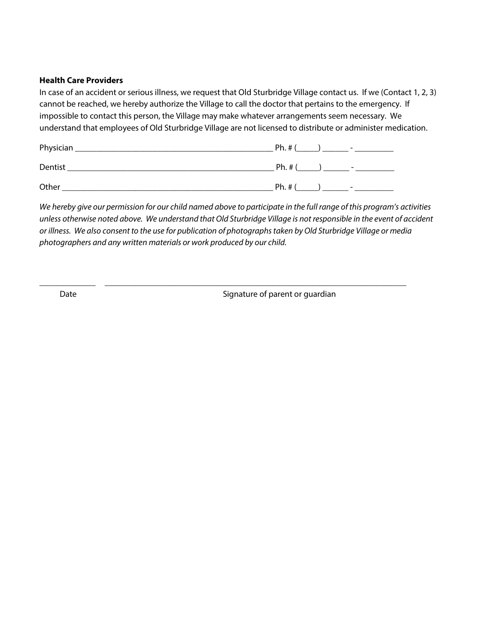#### **Health Care Providers**

In case of an accident or serious illness, we request that Old Sturbridge Village contact us. If we (Contact 1, 2, 3) cannot be reached, we hereby authorize the Village to call the doctor that pertains to the emergency. If impossible to contact this person, the Village may make whatever arrangements seem necessary. We understand that employees of Old Sturbridge Village are not licensed to distribute or administer medication.

| Physician | $Ph.$ # $($<br>$\sim$               |
|-----------|-------------------------------------|
| Dentist   | Ph. # (<br>$\overline{\phantom{0}}$ |
| Other     | Ph. #<br>$\sim$                     |

*We hereby give our permission for our child named above to participate in the full range of this program's activities unless otherwise noted above. We understand that Old Sturbridge Village is not responsible in the event of accident or illness. We also consent to the use for publication of photographs taken by Old Sturbridge Village or media photographers and any written materials or work produced by our child.* 

\_\_\_\_\_\_\_\_\_\_\_\_\_ \_\_\_\_\_\_\_\_\_\_\_\_\_\_\_\_\_\_\_\_\_\_\_\_\_\_\_\_\_\_\_\_\_\_\_\_\_\_\_\_\_\_\_\_\_\_\_\_\_\_\_\_\_\_\_\_\_\_\_\_\_\_\_\_\_\_\_\_\_\_

Date **Signature of parent or guardian**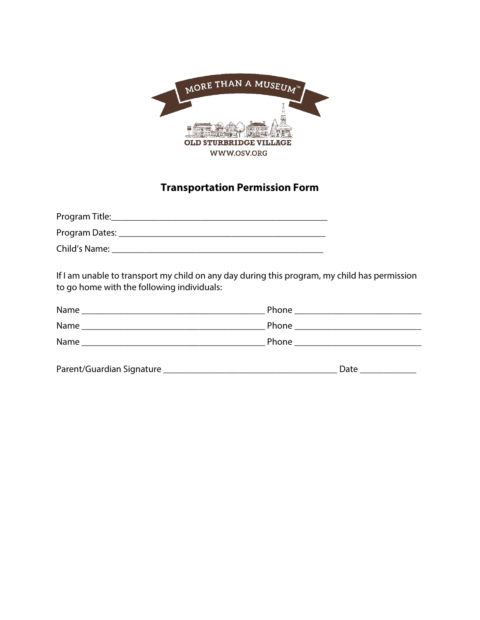

## **Transportation Permission Form**

| Program Title: |  |
|----------------|--|
| Program Dates: |  |
| Child's Name:  |  |

If I am unable to transport my child on any day during this program, my child has permission to go home with the following individuals:

| Name                      |                                       |  |
|---------------------------|---------------------------------------|--|
| Name                      | Phone _________________________       |  |
| Name                      | Phone _______________________________ |  |
| Parent/Guardian Signature | Date                                  |  |
|                           |                                       |  |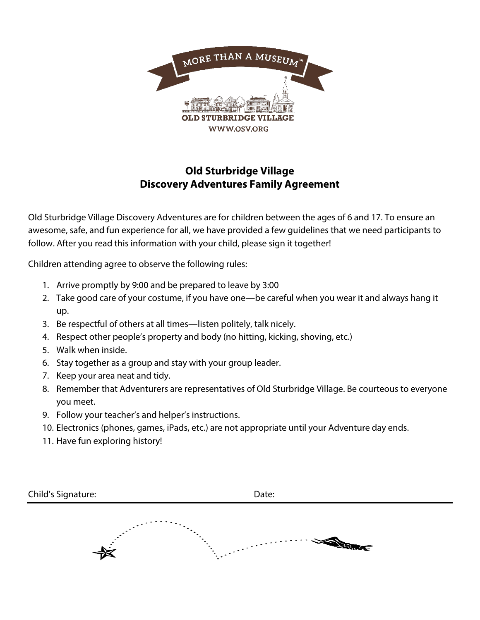

### **Old Sturbridge Village Discovery Adventures Family Agreement**

Old Sturbridge Village Discovery Adventures are for children between the ages of 6 and 17. To ensure an awesome, safe, and fun experience for all, we have provided a few guidelines that we need participants to follow. After you read this information with your child, please sign it together!

Children attending agree to observe the following rules:

- 1. Arrive promptly by 9:00 and be prepared to leave by 3:00
- 2. Take good care of your costume, if you have one—be careful when you wear it and always hang it up.
- 3. Be respectful of others at all times—listen politely, talk nicely.
- 4. Respect other people's property and body (no hitting, kicking, shoving, etc.)
- 5. Walk when inside.
- 6. Stay together as a group and stay with your group leader.
- 7. Keep your area neat and tidy.
- 8. Remember that Adventurers are representatives of Old Sturbridge Village. Be courteous to everyone you meet.
- 9. Follow your teacher's and helper's instructions.
- 10. Electronics (phones, games, iPads, etc.) are not appropriate until your Adventure day ends.
- 11. Have fun exploring history!

| Child's Signature: | Date: |  |
|--------------------|-------|--|
|                    | Æ     |  |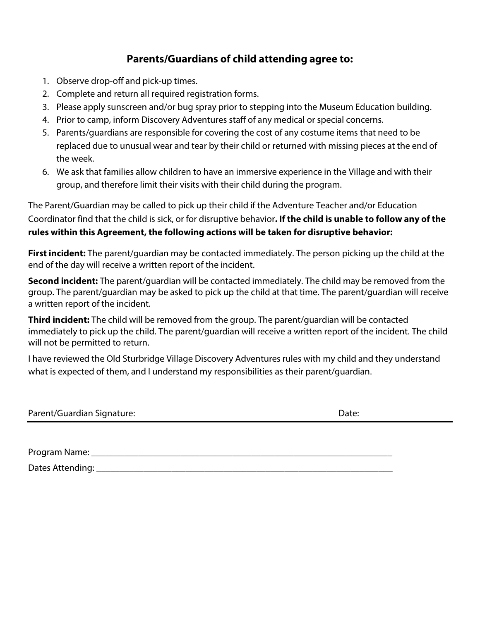### **Parents/Guardians of child attending agree to:**

- 1. Observe drop-off and pick-up times.
- 2. Complete and return all required registration forms.
- 3. Please apply sunscreen and/or bug spray prior to stepping into the Museum Education building.
- 4. Prior to camp, inform Discovery Adventures staff of any medical or special concerns.
- 5. Parents/guardians are responsible for covering the cost of any costume items that need to be replaced due to unusual wear and tear by their child or returned with missing pieces at the end of the week.
- 6. We ask that families allow children to have an immersive experience in the Village and with their group, and therefore limit their visits with their child during the program.

The Parent/Guardian may be called to pick up their child if the Adventure Teacher and/or Education Coordinator find that the child is sick, or for disruptive behavior**. If the child is unable to follow any of the rules within this Agreement, the following actions will be taken for disruptive behavior:**

**First incident:** The parent/guardian may be contacted immediately. The person picking up the child at the end of the day will receive a written report of the incident.

**Second incident:** The parent/guardian will be contacted immediately. The child may be removed from the group. The parent/guardian may be asked to pick up the child at that time. The parent/guardian will receive a written report of the incident.

**Third incident:** The child will be removed from the group. The parent/guardian will be contacted immediately to pick up the child. The parent/guardian will receive a written report of the incident. The child will not be permitted to return.

I have reviewed the Old Sturbridge Village Discovery Adventures rules with my child and they understand what is expected of them, and I understand my responsibilities as their parent/guardian.

Parent/Guardian Signature: Date: Date: Date: Date: Date: Date: Date: Date: Date: Date: Date: Date: Date: Date: Date: Date: Date: Date: Date: Date: Date: Date: Date: Date: Date: Date: Date: Date: Date: Date: Date: Date: Dat

| Program Name:    |  |  |  |
|------------------|--|--|--|
| Dates Attending: |  |  |  |